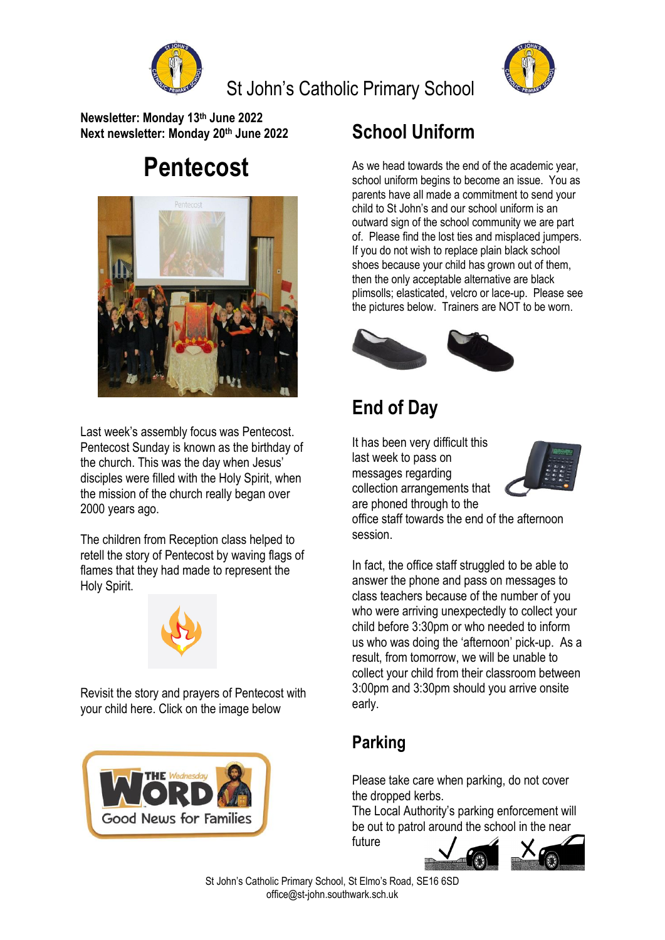



**Newsletter: Monday 13 th June 2022 Next newsletter: Monday 20 th June 2022**

# **Pentecost**



Last week's assembly focus was Pentecost. Pentecost Sunday is known as the birthday of the church. This was the day when Jesus' disciples were filled with the Holy Spirit, when the mission of the church really began over 2000 years ago.

The children from Reception class helped to retell the story of Pentecost by waving flags of flames that they had made to represent the Holy Spirit.



Revisit the story and prayers of Pentecost with your child here. Click on the image below



### **School Uniform**

As we head towards the end of the academic year, school uniform begins to become an issue. You as parents have all made a commitment to send your child to St John's and our school uniform is an outward sign of the school community we are part of. Please find the lost ties and misplaced jumpers. If you do not wish to replace plain black school shoes because your child has grown out of them, then the only acceptable alternative are black plimsolls; elasticated, velcro or lace-up. Please see the pictures below. Trainers are NOT to be worn.



### **End of Day**

It has been very difficult this last week to pass on messages regarding collection arrangements that are phoned through to the



office staff towards the end of the afternoon session.

In fact, the office staff struggled to be able to answer the phone and pass on messages to class teachers because of the number of you who were arriving unexpectedly to collect your child before 3:30pm or who needed to inform us who was doing the 'afternoon' pick-up. As a result, from tomorrow, we will be unable to collect your child from their classroom between 3:00pm and 3:30pm should you arrive onsite early.

#### **Parking**

future

Please take care when parking, do not cover the dropped kerbs.

The Local Authority's parking enforcement will be out to patrol around the school in the near